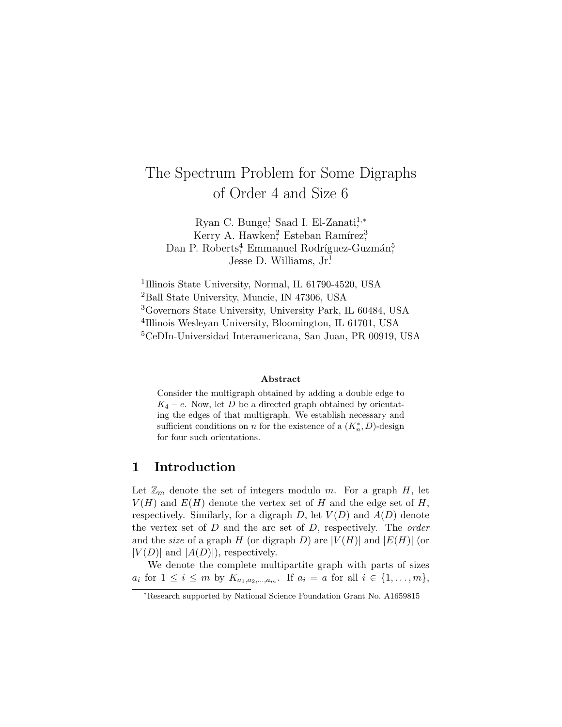# The Spectrum Problem for Some Digraphs of Order 4 and Size 6

Ryan C. Bunge,<sup>1</sup> Saad I. El-Zanati,<sup>1,\*</sup> Kerry A. Hawken<sup>2</sup>, Esteban Ramírez<sup>3</sup>, Dan P. Roberts<sup>4</sup>, Emmanuel Rodríguez-Guzmán<sup>5</sup>, Jesse D. Williams,  $Jr<sup>1</sup>$ .

 Illinois State University, Normal, IL 61790-4520, USA Ball State University, Muncie, IN 47306, USA Governors State University, University Park, IL 60484, USA Illinois Wesleyan University, Bloomington, IL 61701, USA CeDIn-Universidad Interamericana, San Juan, PR 00919, USA

#### Abstract

Consider the multigraph obtained by adding a double edge to  $K_4 - e$ . Now, let D be a directed graph obtained by orientating the edges of that multigraph. We establish necessary and sufficient conditions on n for the existence of a  $(K_n^*, D)$ -design for four such orientations.

## 1 Introduction

Let  $\mathbb{Z}_m$  denote the set of integers modulo m. For a graph H, let  $V(H)$  and  $E(H)$  denote the vertex set of H and the edge set of H, respectively. Similarly, for a digraph  $D$ , let  $V(D)$  and  $A(D)$  denote the vertex set of  $D$  and the arc set of  $D$ , respectively. The *order* and the *size* of a graph H (or digraph D) are  $|V(H)|$  and  $|E(H)|$  (or  $|V(D)|$  and  $|A(D)|$ , respectively.

We denote the complete multipartite graph with parts of sizes  $a_i$  for  $1 \le i \le m$  by  $K_{a_1, a_2, ..., a_m}$ . If  $a_i = a$  for all  $i \in \{1, ..., m\}$ ,

<sup>∗</sup>Research supported by National Science Foundation Grant No. A1659815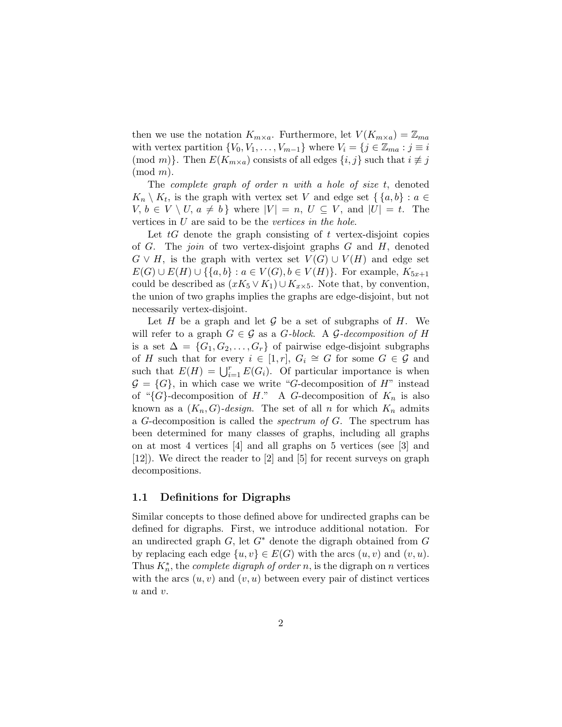then we use the notation  $K_{m\times a}$ . Furthermore, let  $V(K_{m\times a})=\mathbb{Z}_{ma}$ with vertex partition  $\{V_0, V_1, \ldots, V_{m-1}\}\$  where  $V_i = \{j \in \mathbb{Z}_{ma} : j \equiv i\}$ (mod m)}. Then  $E(K_{m\times a})$  consists of all edges  $\{i, j\}$  such that  $i \not\equiv j$  $(mod m).$ 

The complete graph of order n with a hole of size  $t$ , denoted  $K_n \setminus K_t$ , is the graph with vertex set V and edge set  $\{ \{a, b\} : a \in$  $V, b \in V \setminus U, a \neq b$  where  $|V| = n, U \subseteq V$ , and  $|U| = t$ . The vertices in  $U$  are said to be the vertices in the hole.

Let  $tG$  denote the graph consisting of  $t$  vertex-disjoint copies of  $G$ . The *join* of two vertex-disjoint graphs  $G$  and  $H$ , denoted  $G \vee H$ , is the graph with vertex set  $V(G) \cup V(H)$  and edge set  $E(G) \cup E(H) \cup \{ \{a, b\} : a \in V(G), b \in V(H) \}.$  For example,  $K_{5x+1}$ could be described as  $(xK_5 \vee K_1) \cup K_{x\times 5}$ . Note that, by convention, the union of two graphs implies the graphs are edge-disjoint, but not necessarily vertex-disjoint.

Let H be a graph and let  $\mathcal G$  be a set of subgraphs of H. We will refer to a graph  $G \in \mathcal{G}$  as a *G*-block. A *G*-decomposition of H is a set  $\Delta = \{G_1, G_2, \ldots, G_r\}$  of pairwise edge-disjoint subgraphs of H such that for every  $i \in [1,r]$ ,  $G_i \cong G$  for some  $G \in \mathcal{G}$  and such that  $E(H) = \bigcup_{i=1}^{r} E(G_i)$ . Of particular importance is when  $\mathcal{G} = \{G\}$ , in which case we write "G-decomposition of H" instead of " $\{G\}$ -decomposition of H." A G-decomposition of  $K_n$  is also known as a  $(K_n, G)$ -design. The set of all n for which  $K_n$  admits a G-decomposition is called the *spectrum of G*. The spectrum has been determined for many classes of graphs, including all graphs on at most 4 vertices [4] and all graphs on 5 vertices (see [3] and [12]). We direct the reader to [2] and [5] for recent surveys on graph decompositions.

### 1.1 Definitions for Digraphs

Similar concepts to those defined above for undirected graphs can be defined for digraphs. First, we introduce additional notation. For an undirected graph  $G$ , let  $G^*$  denote the digraph obtained from  $G$ by replacing each edge  $\{u, v\} \in E(G)$  with the arcs  $(u, v)$  and  $(v, u)$ . Thus  $K_n^*$ , the *complete digraph of order* n, is the digraph on n vertices with the arcs  $(u, v)$  and  $(v, u)$  between every pair of distinct vertices  $u$  and  $v$ .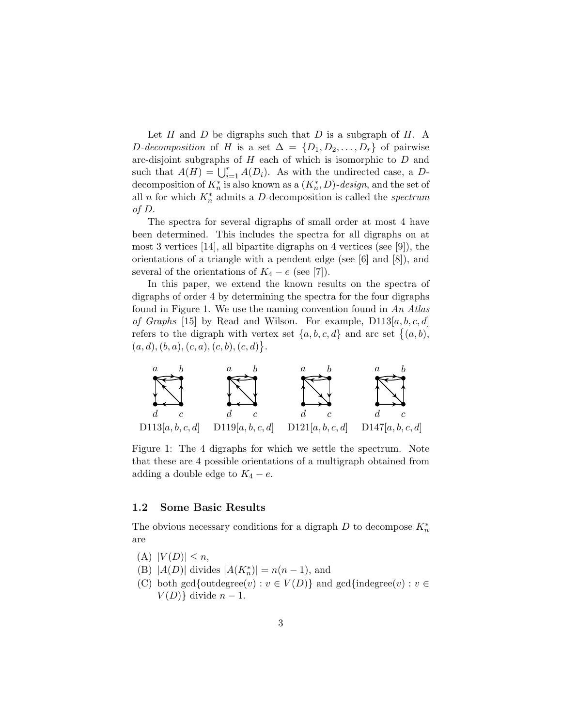Let  $H$  and  $D$  be digraphs such that  $D$  is a subgraph of  $H$ . A D-decomposition of H is a set  $\Delta = \{D_1, D_2, \ldots, D_r\}$  of pairwise arc-disjoint subgraphs of  $H$  each of which is isomorphic to  $D$  and such that  $A(H) = \bigcup_{i=1}^{r} A(D_i)$ . As with the undirected case, a Ddecomposition of  $K_n^*$  is also known as a  $(K_n^*, D)$ -design, and the set of all n for which  $K_n^*$  admits a D-decomposition is called the *spectrum* of D.

The spectra for several digraphs of small order at most 4 have been determined. This includes the spectra for all digraphs on at most 3 vertices [14], all bipartite digraphs on 4 vertices (see [9]), the orientations of a triangle with a pendent edge (see [6] and [8]), and several of the orientations of  $K_4 - e$  (see [7]).

In this paper, we extend the known results on the spectra of digraphs of order 4 by determining the spectra for the four digraphs found in Figure 1. We use the naming convention found in An Atlas of Graphs [15] by Read and Wilson. For example,  $D113[a, b, c, d]$ refers to the digraph with vertex set  $\{a, b, c, d\}$  and arc set  $\{(a, b),$  $(a, d), (b, a), (c, a), (c, b), (c, d)$ .



Figure 1: The 4 digraphs for which we settle the spectrum. Note that these are 4 possible orientations of a multigraph obtained from adding a double edge to  $K_4 - e$ .

#### 1.2 Some Basic Results

The obvious necessary conditions for a digraph  $D$  to decompose  $K_n^*$ are

- $(A)$   $|V(D)| \leq n$ ,
- (B) | $A(D)$ | divides  $|A(K_n^*)| = n(n-1)$ , and
- (C) both gcd{outdegree(v) :  $v \in V(D)$ } and gcd{indegree(v) :  $v \in$  $V(D)$ } divide  $n-1$ .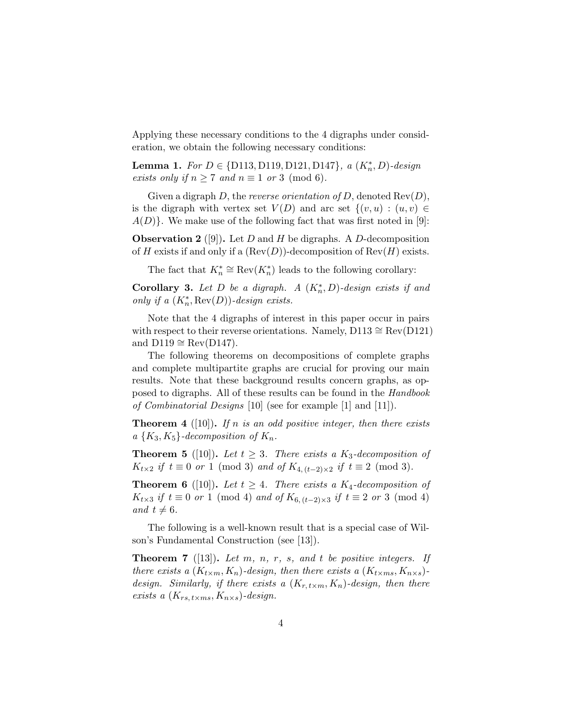Applying these necessary conditions to the 4 digraphs under consideration, we obtain the following necessary conditions:

**Lemma 1.** For  $D \in \{D113, D119, D121, D147\}$ , a  $(K_n^*, D)$ -design exists only if  $n \geq 7$  and  $n \equiv 1$  or 3 (mod 6).

Given a digraph D, the reverse orientation of D, denoted  $\text{Rev}(D)$ , is the digraph with vertex set  $V(D)$  and arc set  $\{(v, u) : (u, v) \in$  $A(D)$ . We make use of the following fact that was first noted in [9]:

**Observation 2** ([9]). Let D and H be digraphs. A D-decomposition of H exists if and only if a  $(\text{Rev}(D))$ -decomposition of  $\text{Rev}(H)$  exists.

The fact that  $K_n^* \cong \text{Rev}(K_n^*)$  leads to the following corollary:

Corollary 3. Let D be a digraph. A  $(K_n^*, D)$ -design exists if and only if a  $(K_n^*, \text{Rev}(D))$ -design exists.

Note that the 4 digraphs of interest in this paper occur in pairs with respect to their reverse orientations. Namely, D113  $\cong$  Rev(D121) and  $D119 \cong Rev(D147)$ .

The following theorems on decompositions of complete graphs and complete multipartite graphs are crucial for proving our main results. Note that these background results concern graphs, as opposed to digraphs. All of these results can be found in the Handbook of Combinatorial Designs [10] (see for example [1] and [11]).

**Theorem 4** ([10]). If n is an odd positive integer, then there exists  $a\{K_3,K_5\}$ -decomposition of  $K_n$ .

**Theorem 5** ([10]). Let  $t \geq 3$ . There exists a K<sub>3</sub>-decomposition of  $K_{t\times 2}$  if  $t \equiv 0$  or 1 (mod 3) and of  $K_{4,(t-2)\times 2}$  if  $t \equiv 2 \pmod{3}$ .

**Theorem 6** ([10]). Let  $t \geq 4$ . There exists a K<sub>4</sub>-decomposition of  $K_{t\times3}$  if  $t \equiv 0$  or 1 (mod 4) and of  $K_{6,(t-2)\times3}$  if  $t \equiv 2$  or 3 (mod 4) and  $t \neq 6$ .

The following is a well-known result that is a special case of Wilson's Fundamental Construction (see [13]).

**Theorem 7** ([13]). Let m, n, r, s, and t be positive integers. If there exists a  $(K_{t \times m}, K_n)$ -design, then there exists a  $(K_{t \times ms}, K_{n \times s})$ design. Similarly, if there exists a  $(K_{r, t \times m}, K_n)$ -design, then there exists a  $(K_{rs, t \times ms}, K_{n \times s})$ -design.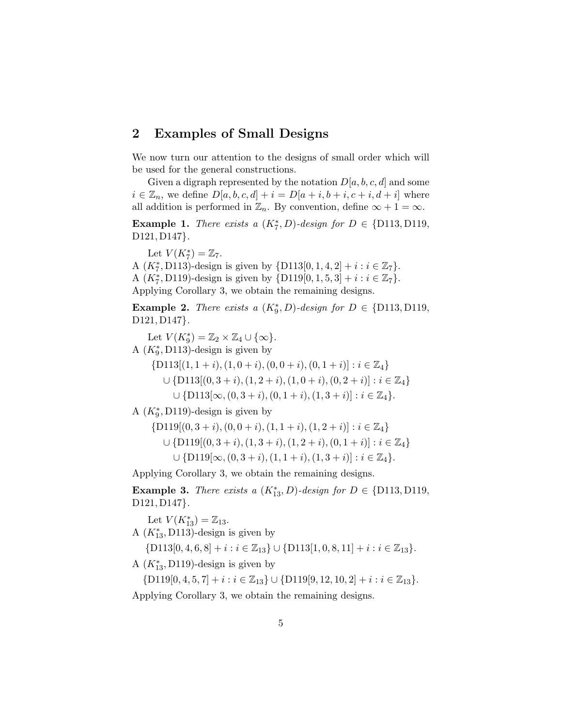## 2 Examples of Small Designs

We now turn our attention to the designs of small order which will be used for the general constructions.

Given a digraph represented by the notation  $D[a, b, c, d]$  and some  $i \in \mathbb{Z}_n$ , we define  $D[a, b, c, d] + i = D[a + i, b + i, c + i, d + i]$  where all addition is performed in  $\mathbb{Z}_n$ . By convention, define  $\infty + 1 = \infty$ .

Example 1. There exists a  $(K_7^*, D)$ -design for  $D \in \{D113, D119,$ D121, D147}.

Let  $V(K_7^*) = \mathbb{Z}_7$ .

A  $(K_7^*, \text{D113})$ -design is given by  $\{\text{D113}[0, 1, 4, 2] + i : i \in \mathbb{Z}_7\}.$ A  $(K_7^*, D119)$ -design is given by  $\{D119[0, 1, 5, 3] + i : i \in \mathbb{Z}_7\}.$ Applying Corollary 3, we obtain the remaining designs.

Example 2. There exists a  $(K_9^*, D)$ -design for  $D \in \{D113, D119,$ D<sub>121</sub>, D<sub>147</sub>.

Let  $V(K_9^*) = \mathbb{Z}_2 \times \mathbb{Z}_4 \cup \{\infty\}.$ 

A  $(K_9^*, D113)$ -design is given by

 $\{D113[(1, 1+i), (1, 0+i), (0, 0+i), (0, 1+i)] : i \in \mathbb{Z}_4\}$  $\cup$  {D113 $[(0, 3+i), (1, 2+i), (1, 0+i), (0, 2+i)]$  :  $i \in \mathbb{Z}_4$ }  $\cup$  {D113[\omego,  $(0, 3 + i)$ ,  $(0, 1 + i)$ ,  $(1, 3 + i)$ ] :  $i \in \mathbb{Z}_4$  }.

A  $(K_9^*, D119)$ -design is given by

$$
\{D119[(0,3+i), (0,0+i), (1,1+i), (1,2+i)]: i \in \mathbb{Z}_4\}
$$
  

$$
\cup \{D119[(0,3+i), (1,3+i), (1,2+i), (0,1+i)]: i \in \mathbb{Z}_4\}
$$
  

$$
\cup \{D119[\infty, (0,3+i), (1,1+i), (1,3+i)]: i \in \mathbb{Z}_4\}.
$$

Applying Corollary 3, we obtain the remaining designs.

Example 3. There exists a  $(K_{13}^*, D)$ -design for  $D \in \{D113, D119,$ D121, D147}.

Let  $V(K_{13}^*) = \mathbb{Z}_{13}$ .

A  $(K_{13}^*$ , D113)-design is given by

 ${D113[0, 4, 6, 8] + i : i \in \mathbb{Z}_{13}} \cup {D113[1, 0, 8, 11] + i : i \in \mathbb{Z}_{13}}.$ 

A  $(K_{13}^*$ , D119)-design is given by

 $\{D119[0, 4, 5, 7] + i : i \in \mathbb{Z}_{13} \} \cup \{D119[9, 12, 10, 2] + i : i \in \mathbb{Z}_{13} \}.$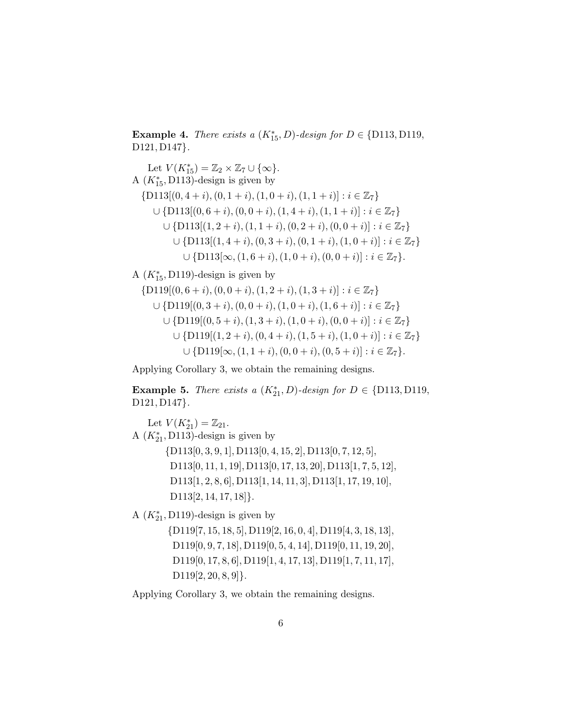Example 4. There exists a (K<sup>∗</sup> <sup>15</sup>, D)-design for D ∈ {D113, D119, D121, D147}.

Let  $V(K_{15}^*) = \mathbb{Z}_2 \times \mathbb{Z}_7 \cup \{\infty\}.$ A  $(K_{15}^*$ , D113)-design is given by  $\{D113[(0,4+i), (0,1+i), (1,0+i), (1,1+i)] : i \in \mathbb{Z}_7\}$  $\cup$  {D113[(0, 6 + i), (0, 0 + i), (1, 4 + i), (1, 1 + i)] :  $i \in \mathbb{Z}_7$ }  $\cup$  {D113[(1, 2 + i), (1, 1 + i), (0, 2 + i), (0, 0 + i)] :  $i \in \mathbb{Z}_7$ }  $\cup$  {D113[(1, 4 + i), (0, 3 + i), (0, 1 + i), (1, 0 + i)] :  $i \in \mathbb{Z}_7$ }  $\cup$  {D113[\ioo, (1, 6 + i), (1, 0 + i), (0, 0 + i)] :  $i \in \mathbb{Z}_7$  }.

A  $(K_{15}^*$ , D119)-design is given by

 $\{D119[(0, 6+i), (0, 0+i), (1, 2+i), (1, 3+i)] : i \in \mathbb{Z}_7\}$  $\cup$  {D119[(0, 3 + i), (0, 0 + i), (1, 0 + i), (1, 6 + i)] :  $i \in \mathbb{Z}_7$ }  $\cup$  {D119 $[(0, 5 + i), (1, 3 + i), (1, 0 + i), (0, 0 + i)] : i \in \mathbb{Z}_7$ }  $\cup$  {D119[(1, 2 + i), (0, 4 + i), (1, 5 + i), (1, 0 + i)] :  $i \in \mathbb{Z}_7$ }  $\cup$  {D119[ $\infty$ ,  $(1, 1 + i)$ ,  $(0, 0 + i)$ ,  $(0, 5 + i)$ ] :  $i \in \mathbb{Z}_7$  }.

Applying Corollary 3, we obtain the remaining designs.

Example 5. There exists a (K<sup>∗</sup> <sup>21</sup>, D)-design for D ∈ {D113, D119, D<sub>121</sub>, D<sub>147</sub>.

Let  $V(K_{21}^*) = \mathbb{Z}_{21}$ . A  $(K_{21}^*, \text{D113})$ -design is given by {D113[0, 3, 9, 1], D113[0, 4, 15, 2], D113[0, 7, 12, 5], D113[0, 11, 1, 19], D113[0, 17, 13, 20], D113[1, 7, 5, 12], D113[1, 2, 8, 6], D113[1, 14, 11, 3], D113[1, 17, 19, 10], D113[2, 14, 17, 18]}.

A  $(K_{21}^*, D119)$ -design is given by

{D119[7, 15, 18, 5], D119[2, 16, 0, 4], D119[4, 3, 18, 13], D119[0, 9, 7, 18], D119[0, 5, 4, 14], D119[0, 11, 19, 20], D119[0, 17, 8, 6], D119[1, 4, 17, 13], D119[1, 7, 11, 17],  $D119[2, 20, 8, 9]$ .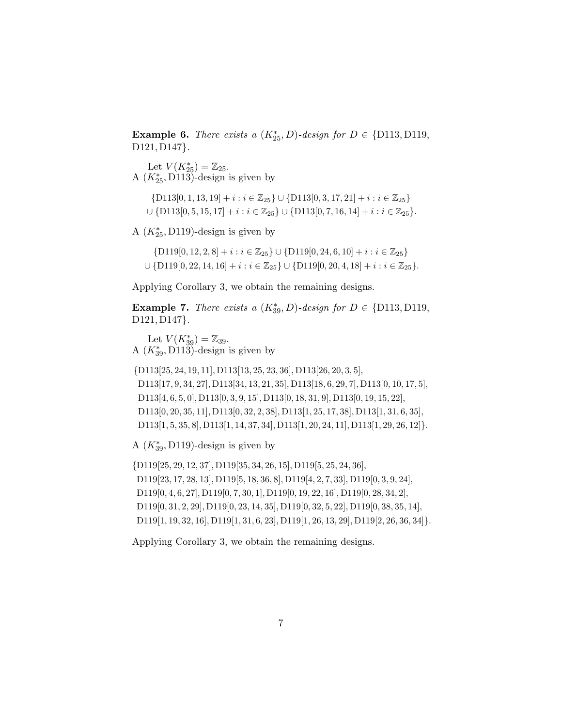Example 6. There exists a (K<sup>∗</sup> <sup>25</sup>, D)-design for D ∈ {D113, D119, D121, D147}.

Let  $V(K_{25}^*) = \mathbb{Z}_{25}$ . A  $(K_{25}^*, \text{D113})$ -design is given by

 $\{D113[0, 1, 13, 19] + i : i \in \mathbb{Z}_{25}\} \cup \{D113[0, 3, 17, 21] + i : i \in \mathbb{Z}_{25}\}$ ∪ {D113[0, 5, 15, 17] +  $i : i \in \mathbb{Z}_{25}$ } ∪ {D113[0, 7, 16, 14] +  $i : i \in \mathbb{Z}_{25}$ }.

A  $(K_{25}^*$ , D119)-design is given by

 $\{D119[0, 12, 2, 8] + i : i \in \mathbb{Z}_{25}\} \cup \{D119[0, 24, 6, 10] + i : i \in \mathbb{Z}_{25}\}\$  $\cup$  {D119[0, 22, 14, 16] +  $i : i \in \mathbb{Z}_{25}$ }  $\cup$  {D119[0, 20, 4, 18] +  $i : i \in \mathbb{Z}_{25}$ }.

Applying Corollary 3, we obtain the remaining designs.

Example 7. There exists a (K<sup>∗</sup> <sup>39</sup>, D)-design for D ∈ {D113, D119, D121, D147}.

Let  $V(K_{39}^*) = \mathbb{Z}_{39}$ . A  $(K_{39}^*, \text{D113})$ -design is given by

{D113[25, 24, 19, 11], D113[13, 25, 23, 36], D113[26, 20, 3, 5], D113[17, 9, 34, 27], D113[34, 13, 21, 35], D113[18, 6, 29, 7], D113[0, 10, 17, 5], D113[4, 6, 5, 0], D113[0, 3, 9, 15], D113[0, 18, 31, 9], D113[0, 19, 15, 22], D113[0, 20, 35, 11], D113[0, 32, 2, 38], D113[1, 25, 17, 38], D113[1, 31, 6, 35], D113[1, 5, 35, 8], D113[1, 14, 37, 34], D113[1, 20, 24, 11], D113[1, 29, 26, 12]}.

A  $(K_{39}^*$ , D119)-design is given by

{D119[25, 29, 12, 37], D119[35, 34, 26, 15], D119[5, 25, 24, 36], D119[23, 17, 28, 13], D119[5, 18, 36, 8], D119[4, 2, 7, 33], D119[0, 3, 9, 24], D119[0, 4, 6, 27], D119[0, 7, 30, 1], D119[0, 19, 22, 16], D119[0, 28, 34, 2], D119[0, 31, 2, 29], D119[0, 23, 14, 35], D119[0, 32, 5, 22], D119[0, 38, 35, 14], D119[1, 19, 32, 16], D119[1, 31, 6, 23], D119[1, 26, 13, 29], D119[2, 26, 36, 34]}.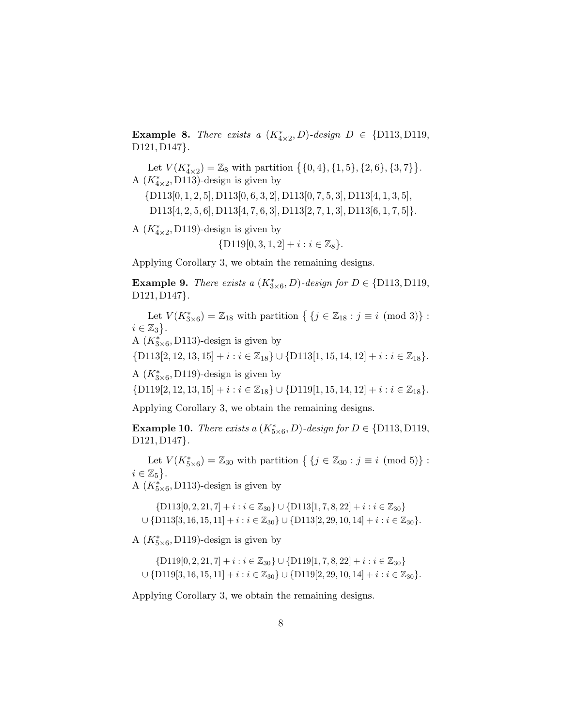Example 8. There exists a (K<sup>∗</sup> 4×2 , D)-design D ∈ {D113, D119, D121, D147}.

Let  $V(K^*_{4\times2}) = \mathbb{Z}_8$  with partition  $\{ \{0,4\}, \{1,5\}, \{2,6\}, \{3,7\} \}.$ A  $(K^*_{4\times 2}, D113)$ -design is given by

{D113[0, 1, 2, 5], D113[0, 6, 3, 2], D113[0, 7, 5, 3], D113[4, 1, 3, 5],  $D113[4, 2, 5, 6]$ ,  $D113[4, 7, 6, 3]$ ,  $D113[2, 7, 1, 3]$ ,  $D113[6, 1, 7, 5]$ .

A  $(K^*_{4\times 2}, D119)$ -design is given by

$$
\{D119[0,3,1,2]+i: i\in\mathbb{Z}_8\}.
$$

Applying Corollary 3, we obtain the remaining designs.

Example 9. There exists a (K<sup>∗</sup> 3×6 , D)-design for D ∈ {D113, D119, D<sub>121</sub>, D<sub>147</sub>.

Let  $V(K_{3\times 6}^*) = \mathbb{Z}_{18}$  with partition  $\{j \in \mathbb{Z}_{18} : j \equiv i \pmod{3}\}$ :  $i \in \mathbb{Z}_3$ .

A  $(K^*_{3\times 6}, D113)$ -design is given by

 $\{D113[2, 12, 13, 15] + i : i \in \mathbb{Z}_{18} \} \cup \{D113[1, 15, 14, 12] + i : i \in \mathbb{Z}_{18} \}.$ 

A  $(K^*_{3\times 6}, D119)$ -design is given by

 $\{D119[2, 12, 13, 15] + i : i \in \mathbb{Z}_{18} \} \cup \{D119[1, 15, 14, 12] + i : i \in \mathbb{Z}_{18} \}.$ 

Applying Corollary 3, we obtain the remaining designs.

Example 10. There exists a (K<sup>∗</sup> 5×6 , D)-design for D ∈ {D113, D119, D<sub>121</sub>, D<sub>147</sub>.

Let  $V(K_{5\times 6}^*) = \mathbb{Z}_{30}$  with partition  $\{ \{ j \in \mathbb{Z}_{30} : j \equiv i \pmod{5} \}$ :  $i \in \mathbb{Z}_5$ .

A  $(K_{5\times 6}^*$ , D113)-design is given by

 $\{D113[0, 2, 21, 7] + i : i \in \mathbb{Z}_{30}\} \cup \{D113[1, 7, 8, 22] + i : i \in \mathbb{Z}_{30}\}\$  $\cup$  {D113[3, 16, 15, 11] +  $i : i \in \mathbb{Z}_{30}$  }  $\cup$  {D113[2, 29, 10, 14] +  $i : i \in \mathbb{Z}_{30}$  }.

A  $(K^*_{5\times 6}, D119)$ -design is given by

 $\{D119[0, 2, 21, 7] + i : i \in \mathbb{Z}_{30}\} \cup \{D119[1, 7, 8, 22] + i : i \in \mathbb{Z}_{30}\}\$  $\cup$  {D119[3, 16, 15, 11] +  $i : i \in \mathbb{Z}_{30}$ }  $\cup$  {D119[2, 29, 10, 14] +  $i : i \in \mathbb{Z}_{30}$ }.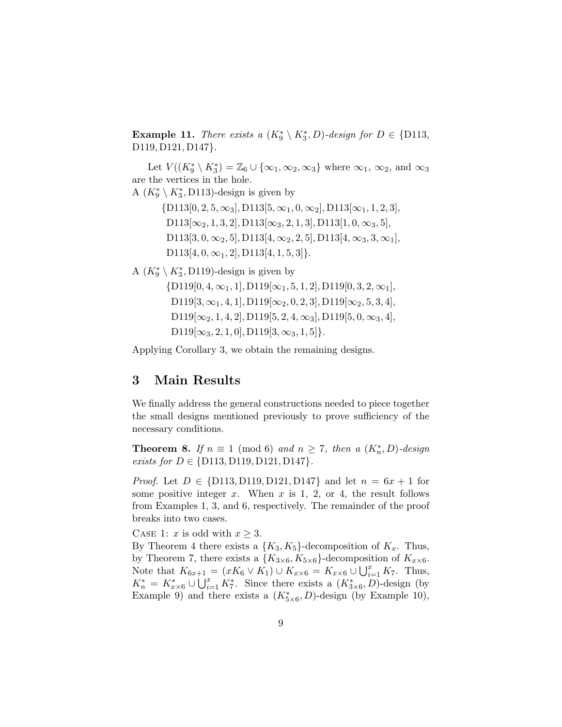**Example 11.** There exists a  $(K_9^* \setminus K_3^*, D)$ -design for  $D \in \{D113,$  $D119, D121, D147$ .

Let  $V((K_9^*\setminus K_3^*)=\mathbb{Z}_6\cup\{\infty_1,\infty_2,\infty_3\}$  where  $\infty_1, \infty_2$ , and  $\infty_3$ are the vertices in the hole.

A  $(K_9^*\setminus K_3^*, D113)$ -design is given by

 $\{D113[0, 2, 5, \infty_3], D113[5, \infty_1, 0, \infty_2], D113[\infty_1, 1, 2, 3],$  $D113[\infty_2, 1, 3, 2]$ ,  $D113[\infty_3, 2, 1, 3]$ ,  $D113[1, 0, \infty_3, 5]$ , D113[3, 0,  $\infty_2$ , 5], D113[4,  $\infty_2$ , 2, 5], D113[4,  $\infty_3$ , 3,  $\infty_1$ ],  $D113[4, 0, \infty_1, 2]$ ,  $D113[4, 1, 5, 3]$ .

A  $(K_9^*\setminus K_3^*, D119)$ -design is given by

 $\{D119[0, 4, \infty_1, 1], D119[\infty_1, 5, 1, 2], D119[0, 3, 2, \infty_1],$ D119[3,  $\infty_1$ , 4, 1], D119[ $\infty_2$ , 0, 2, 3], D119[ $\infty_2$ , 5, 3, 4],  $D119[\infty_2, 1, 4, 2]$ ,  $D119[5, 2, 4, \infty_3]$ ,  $D119[5, 0, \infty_3, 4]$ ,  $D119[\infty_3, 2, 1, 0], D119[3, \infty_3, 1, 5].$ 

Applying Corollary 3, we obtain the remaining designs.

## 3 Main Results

We finally address the general constructions needed to piece together the small designs mentioned previously to prove sufficiency of the necessary conditions.

**Theorem 8.** If  $n \equiv 1 \pmod{6}$  and  $n \ge 7$ , then a  $(K_n^*, D)$ -design *exists for*  $D \in \{D113, D119, D121, D147\}.$ 

*Proof.* Let  $D \in \{D113, D119, D121, D147\}$  and let  $n = 6x + 1$  for some positive integer  $x$ . When  $x$  is 1, 2, or 4, the result follows from Examples 1, 3, and 6, respectively. The remainder of the proof breaks into two cases.

CASE 1: x is odd with  $x \geq 3$ .

By Theorem 4 there exists a  $\{K_3, K_5\}$ -decomposition of  $K_x$ . Thus, by Theorem 7, there exists a  $\{K_{3\times6}, K_{5\times6}\}$ -decomposition of  $K_{x\times6}$ . Note that  $K_{6x+1} = (xK_6 \vee K_1) \cup K_{x \times 6} = K_{x \times 6} \cup \bigcup_{i=1}^{x} K_7$ . Thus,  $K_n^* = K_{x \times 6}^* \cup \bigcup_{i=1}^x K_i^*$ . Since there exists a  $(K_{3 \times 6}^*, D)$ -design (by Example 9) and there exists a  $(K^*_{5\times 6}, D)$ -design (by Example 10),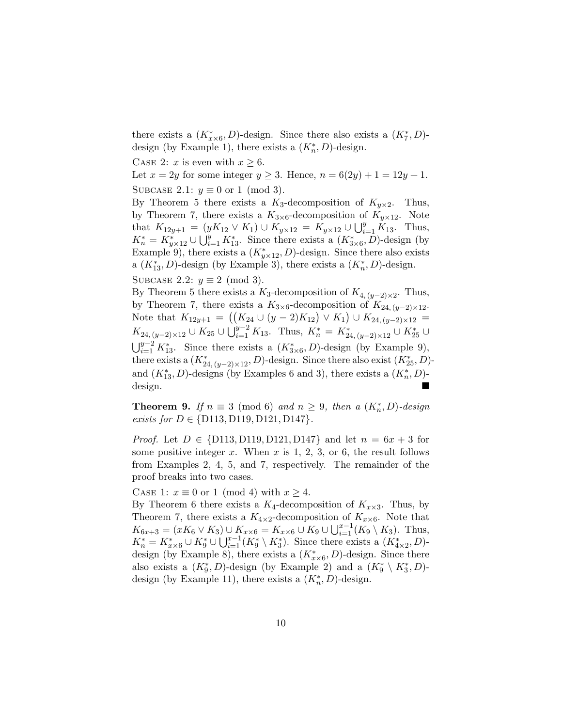there exists a  $(K^*_{x\times 6}, D)$ -design. Since there also exists a  $(K^*_7, D)$ design (by Example 1), there exists a  $(K_n^*, D)$ -design.

CASE 2: x is even with  $x \geq 6$ .

Let  $x = 2y$  for some integer  $y \ge 3$ . Hence,  $n = 6(2y) + 1 = 12y + 1$ .

SUBCASE 2.1:  $y \equiv 0$  or 1 (mod 3).

By Theorem 5 there exists a  $K_3$ -decomposition of  $K_{y\times 2}$ . Thus, by Theorem 7, there exists a  $K_{3\times 6}$ -decomposition of  $K_{y\times 12}$ . Note that  $K_{12y+1} = (yK_{12} \vee K_1) \cup K_{y \times 12} = K_{y \times 12} \cup \bigcup_{i=1}^{y} K_{13}$ . Thus,  $K_n^* = K_{y \times 12}^* \cup \bigcup_{i=1}^y K_{13}^*$ . Since there exists a  $(K_{3 \times 6}^*, D)$ -design (by Example 9), there exists a  $(K^*_{y\times 12}, D)$ -design. Since there also exists a  $(K_{13}^*, D)$ -design (by Example 3), there exists a  $(K_n^*, D)$ -design.

SUBCASE 2.2:  $y \equiv 2 \pmod{3}$ .

By Theorem 5 there exists a K<sub>3</sub>-decomposition of  $K_{4,(y-2)\times 2}$ . Thus, by Theorem 7, there exists a  $K_{3\times 6}$ -decomposition of  $K_{24,(y-2)\times 12}$ . Note that  $K_{12y+1} = ((K_{24} \cup (y-2)K_{12}) \vee K_1) \cup K_{24,(y-2)\times 12}$  $K_{24, (y-2)\times 12} \cup K_{25} \cup \bigcup_{i=1}^{y-2} K_{13}$ . Thus,  $K_n^* = K_{24, (y-2)\times 12}^* \cup K_{25}^* \cup K_{35}^*$  $\bigcup_{i=1}^{y-2} K_{13}^*$ . Since there exists a  $(K_{3\times 6}^*, D)$ -design (by Example 9), there exists a  $(K^*_{24,(y-2)\times12}, D)$ -design. Since there also exist  $(K^*_{25}, D)$ and  $(K_{13}^*, D)$ -designs (by Examples 6 and 3), there exists a  $(K_n^*, D)$ design.

**Theorem 9.** If  $n \equiv 3 \pmod{6}$  and  $n \geq 9$ , then a  $(K_n^*, D)$ -design exists for  $D \in \{D113, D119, D121, D147\}.$ 

*Proof.* Let  $D \in \{D113, D119, D121, D147\}$  and let  $n = 6x + 3$  for some positive integer x. When x is 1, 2, 3, or 6, the result follows from Examples 2, 4, 5, and 7, respectively. The remainder of the proof breaks into two cases.

CASE 1:  $x \equiv 0$  or 1 (mod 4) with  $x \geq 4$ .

By Theorem 6 there exists a  $K_4$ -decomposition of  $K_{\alpha \times 3}$ . Thus, by Theorem 7, there exists a  $K_{4\times 2}$ -decomposition of  $K_{x\times 6}$ . Note that  $K_{6x+3} = (xK_6 \vee K_3) \cup K_{x \times 6} = K_{x \times 6} \cup K_9 \cup \bigcup_{i=1}^{x-1} (K_9 \setminus K_3)$ . Thus,  $K_n^* = K_{x \times 6}^* \cup K_9^* \cup \bigcup_{i=1}^{x-1} (K_9^* \setminus K_3^*)$ . Since there exists a  $(K_{4 \times 2}^*, D)$ design (by Example 8), there exists a  $(K^*_{x\times 6}, D)$ -design. Since there also exists a  $(K_9^*, D)$ -design (by Example 2) and a  $(K_9^* \setminus K_3^*, D)$ design (by Example 11), there exists a  $(K_n^*, D)$ -design.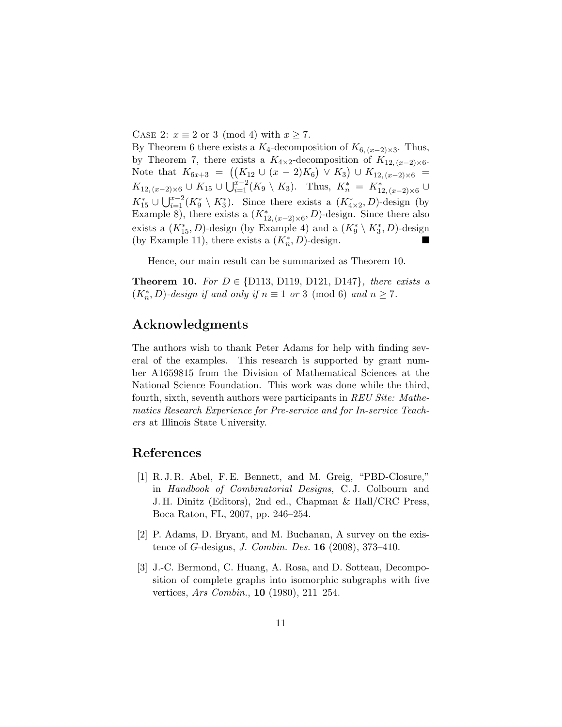CASE 2:  $x \equiv 2$  or 3 (mod 4) with  $x \ge 7$ .

By Theorem 6 there exists a  $K_4$ -decomposition of  $K_{6,(x-2)\times 3}$ . Thus, by Theorem 7, there exists a  $K_{4\times2}$ -decomposition of  $K_{12,(x-2)\times6}$ . Note that  $K_{6x+3} = ((K_{12} \cup (x-2)K_6) \vee K_3) \cup K_{12,(x-2)\times 6}$  $K_{12,(x-2)\times 6}$  ∪  $K_{15}$  ∪  $\bigcup_{i=1}^{x-2}(K_9\setminus K_3)$ . Thus,  $K_n^* = K_{12,(x-2)\times 6}^*$  ∪  $K_{15}^* \cup \bigcup_{i=1}^{x-2} (K_9^* \setminus K_3^*)$ . Since there exists a  $(K_{4 \times 2}^*, D)$ -design (by Example 8), there exists a  $(K^*_{12,(x-2)\times 6}, D)$ -design. Since there also exists a  $(K_{15}^*, D)$ -design (by Example 4) and a  $(K_9^* \setminus K_3^*, D)$ -design (by Example 11), there exists a  $(K_n^*, D)$ -design.

Hence, our main result can be summarized as Theorem 10.

**Theorem 10.** For  $D \in \{D113, D119, D121, D147\}$ , there exists a  $(K_n^*, D)$ -design if and only if  $n \equiv 1$  or 3 (mod 6) and  $n \ge 7$ .

## Acknowledgments

The authors wish to thank Peter Adams for help with finding several of the examples. This research is supported by grant number A1659815 from the Division of Mathematical Sciences at the National Science Foundation. This work was done while the third, fourth, sixth, seventh authors were participants in REU Site: Mathematics Research Experience for Pre-service and for In-service Teachers at Illinois State University.

## References

- [1] R. J. R. Abel, F. E. Bennett, and M. Greig, "PBD-Closure," in Handbook of Combinatorial Designs, C. J. Colbourn and J. H. Dinitz (Editors), 2nd ed., Chapman & Hall/CRC Press, Boca Raton, FL, 2007, pp. 246–254.
- [2] P. Adams, D. Bryant, and M. Buchanan, A survey on the existence of G-designs, J. Combin. Des. 16 (2008), 373–410.
- [3] J.-C. Bermond, C. Huang, A. Rosa, and D. Sotteau, Decomposition of complete graphs into isomorphic subgraphs with five vertices, Ars Combin., 10 (1980), 211–254.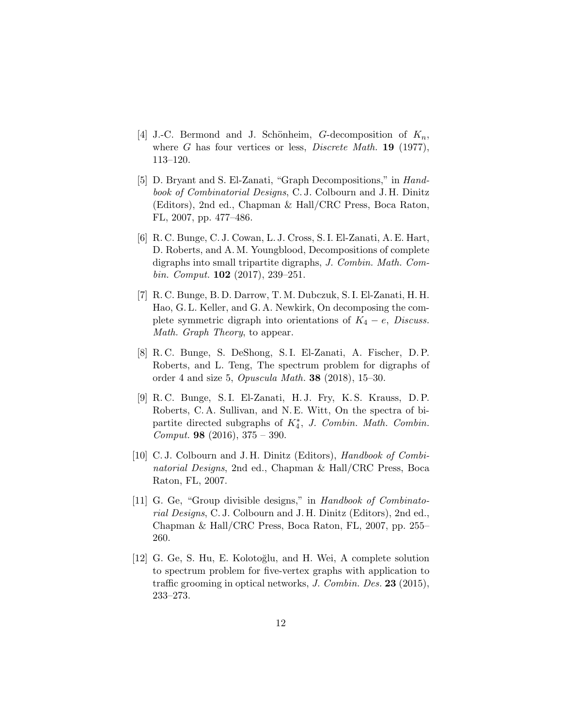- [4] J.-C. Bermond and J. Schönheim, G-decomposition of  $K_n$ , where G has four vertices or less, *Discrete Math.* **19** (1977), 113–120.
- [5] D. Bryant and S. El-Zanati, "Graph Decompositions," in Handbook of Combinatorial Designs, C. J. Colbourn and J. H. Dinitz (Editors), 2nd ed., Chapman & Hall/CRC Press, Boca Raton, FL, 2007, pp. 477–486.
- [6] R. C. Bunge, C. J. Cowan, L. J. Cross, S. I. El-Zanati, A. E. Hart, D. Roberts, and A. M. Youngblood, Decompositions of complete digraphs into small tripartite digraphs, J. Combin. Math. Combin. Comput.  $102$  (2017), 239–251.
- [7] R. C. Bunge, B. D. Darrow, T. M. Dubczuk, S. I. El-Zanati, H. H. Hao, G. L. Keller, and G. A. Newkirk, On decomposing the complete symmetric digraph into orientations of  $K_4 - e$ , Discuss. Math. Graph Theory, to appear.
- [8] R. C. Bunge, S. DeShong, S. I. El-Zanati, A. Fischer, D. P. Roberts, and L. Teng, The spectrum problem for digraphs of order 4 and size 5, Opuscula Math. 38 (2018), 15–30.
- [9] R. C. Bunge, S. I. El-Zanati, H. J. Fry, K. S. Krauss, D. P. Roberts, C. A. Sullivan, and N. E. Witt, On the spectra of bipartite directed subgraphs of  $K_4^*$ , J. Combin. Math. Combin. *Comput.* **98** (2016),  $375 - 390$ .
- [10] C.J. Colbourn and J.H. Dinitz (Editors), Handbook of Combinatorial Designs, 2nd ed., Chapman & Hall/CRC Press, Boca Raton, FL, 2007.
- [11] G. Ge, "Group divisible designs," in Handbook of Combinatorial Designs, C. J. Colbourn and J. H. Dinitz (Editors), 2nd ed., Chapman & Hall/CRC Press, Boca Raton, FL, 2007, pp. 255– 260.
- [12] G. Ge, S. Hu, E. Kolotoğlu, and H. Wei, A complete solution to spectrum problem for five-vertex graphs with application to traffic grooming in optical networks, J. Combin. Des. 23 (2015), 233–273.